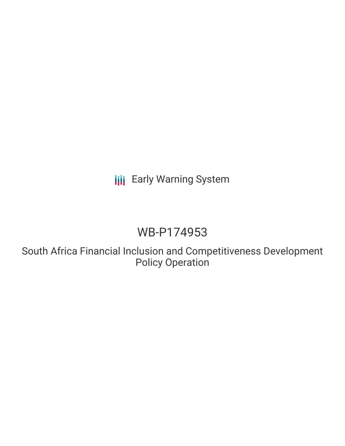# **III** Early Warning System

# WB-P174953

South Africa Financial Inclusion and Competitiveness Development Policy Operation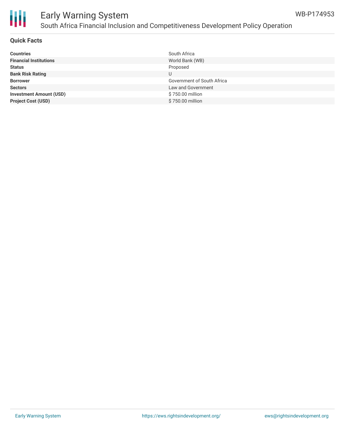

# Ш

## Early Warning System South Africa Financial Inclusion and Competitiveness Development Policy Operation

#### **Quick Facts**

| <b>Countries</b>               | South Africa               |
|--------------------------------|----------------------------|
| <b>Financial Institutions</b>  | World Bank (WB)            |
| <b>Status</b>                  | Proposed                   |
| <b>Bank Risk Rating</b>        |                            |
| <b>Borrower</b>                | Government of South Africa |
| <b>Sectors</b>                 | Law and Government         |
| <b>Investment Amount (USD)</b> | \$750.00 million           |
| <b>Project Cost (USD)</b>      | \$750.00 million           |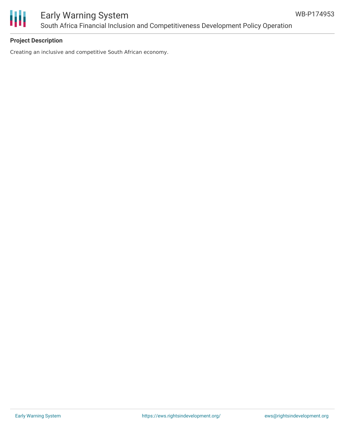

### Early Warning System South Africa Financial Inclusion and Competitiveness Development Policy Operation

#### **Project Description**

Creating an inclusive and competitive South African economy.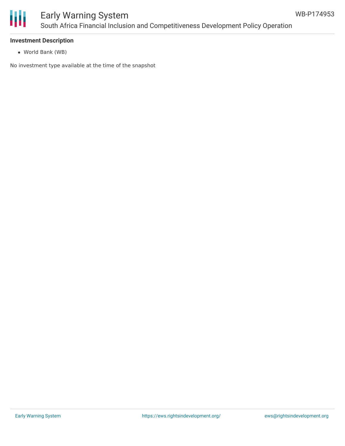

## Early Warning System South Africa Financial Inclusion and Competitiveness Development Policy Operation

#### **Investment Description**

World Bank (WB)

No investment type available at the time of the snapshot